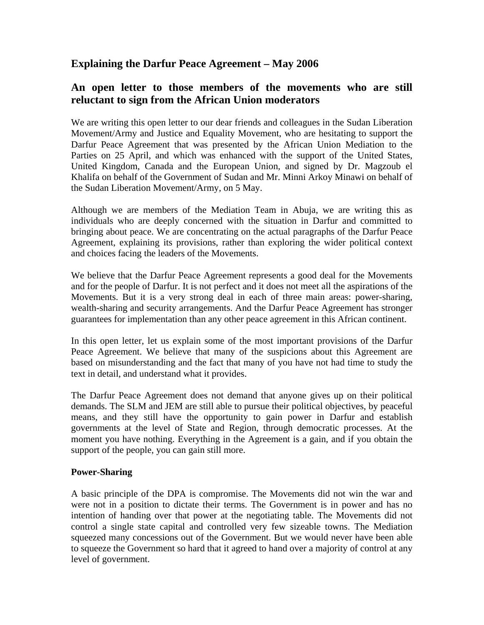# **Explaining the Darfur Peace Agreement – May 2006**

## **An open letter to those members of the movements who are still reluctant to sign from the African Union moderators**

We are writing this open letter to our dear friends and colleagues in the Sudan Liberation Movement/Army and Justice and Equality Movement, who are hesitating to support the Darfur Peace Agreement that was presented by the African Union Mediation to the Parties on 25 April, and which was enhanced with the support of the United States, United Kingdom, Canada and the European Union, and signed by Dr. Magzoub el Khalifa on behalf of the Government of Sudan and Mr. Minni Arkoy Minawi on behalf of the Sudan Liberation Movement/Army, on 5 May.

Although we are members of the Mediation Team in Abuja, we are writing this as individuals who are deeply concerned with the situation in Darfur and committed to bringing about peace. We are concentrating on the actual paragraphs of the Darfur Peace Agreement, explaining its provisions, rather than exploring the wider political context and choices facing the leaders of the Movements.

We believe that the Darfur Peace Agreement represents a good deal for the Movements and for the people of Darfur. It is not perfect and it does not meet all the aspirations of the Movements. But it is a very strong deal in each of three main areas: power-sharing, wealth-sharing and security arrangements. And the Darfur Peace Agreement has stronger guarantees for implementation than any other peace agreement in this African continent.

In this open letter, let us explain some of the most important provisions of the Darfur Peace Agreement. We believe that many of the suspicions about this Agreement are based on misunderstanding and the fact that many of you have not had time to study the text in detail, and understand what it provides.

The Darfur Peace Agreement does not demand that anyone gives up on their political demands. The SLM and JEM are still able to pursue their political objectives, by peaceful means, and they still have the opportunity to gain power in Darfur and establish governments at the level of State and Region, through democratic processes. At the moment you have nothing. Everything in the Agreement is a gain, and if you obtain the support of the people, you can gain still more.

#### **Power-Sharing**

A basic principle of the DPA is compromise. The Movements did not win the war and were not in a position to dictate their terms. The Government is in power and has no intention of handing over that power at the negotiating table. The Movements did not control a single state capital and controlled very few sizeable towns. The Mediation squeezed many concessions out of the Government. But we would never have been able to squeeze the Government so hard that it agreed to hand over a majority of control at any level of government.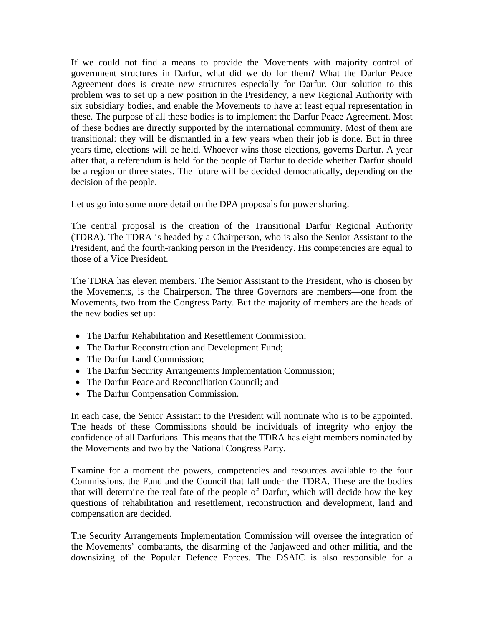If we could not find a means to provide the Movements with majority control of government structures in Darfur, what did we do for them? What the Darfur Peace Agreement does is create new structures especially for Darfur. Our solution to this problem was to set up a new position in the Presidency, a new Regional Authority with six subsidiary bodies, and enable the Movements to have at least equal representation in these. The purpose of all these bodies is to implement the Darfur Peace Agreement. Most of these bodies are directly supported by the international community. Most of them are transitional: they will be dismantled in a few years when their job is done. But in three years time, elections will be held. Whoever wins those elections, governs Darfur. A year after that, a referendum is held for the people of Darfur to decide whether Darfur should be a region or three states. The future will be decided democratically, depending on the decision of the people.

Let us go into some more detail on the DPA proposals for power sharing.

The central proposal is the creation of the Transitional Darfur Regional Authority (TDRA). The TDRA is headed by a Chairperson, who is also the Senior Assistant to the President, and the fourth-ranking person in the Presidency. His competencies are equal to those of a Vice President.

The TDRA has eleven members. The Senior Assistant to the President, who is chosen by the Movements, is the Chairperson. The three Governors are members—one from the Movements, two from the Congress Party. But the majority of members are the heads of the new bodies set up:

- The Darfur Rehabilitation and Resettlement Commission;
- The Darfur Reconstruction and Development Fund;
- The Darfur Land Commission;
- The Darfur Security Arrangements Implementation Commission;
- The Darfur Peace and Reconciliation Council; and
- The Darfur Compensation Commission.

In each case, the Senior Assistant to the President will nominate who is to be appointed. The heads of these Commissions should be individuals of integrity who enjoy the confidence of all Darfurians. This means that the TDRA has eight members nominated by the Movements and two by the National Congress Party.

Examine for a moment the powers, competencies and resources available to the four Commissions, the Fund and the Council that fall under the TDRA. These are the bodies that will determine the real fate of the people of Darfur, which will decide how the key questions of rehabilitation and resettlement, reconstruction and development, land and compensation are decided.

The Security Arrangements Implementation Commission will oversee the integration of the Movements' combatants, the disarming of the Janjaweed and other militia, and the downsizing of the Popular Defence Forces. The DSAIC is also responsible for a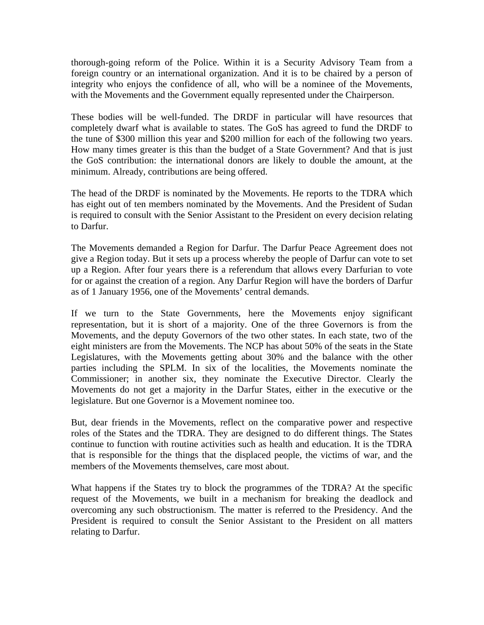thorough-going reform of the Police. Within it is a Security Advisory Team from a foreign country or an international organization. And it is to be chaired by a person of integrity who enjoys the confidence of all, who will be a nominee of the Movements, with the Movements and the Government equally represented under the Chairperson.

These bodies will be well-funded. The DRDF in particular will have resources that completely dwarf what is available to states. The GoS has agreed to fund the DRDF to the tune of \$300 million this year and \$200 million for each of the following two years. How many times greater is this than the budget of a State Government? And that is just the GoS contribution: the international donors are likely to double the amount, at the minimum. Already, contributions are being offered.

The head of the DRDF is nominated by the Movements. He reports to the TDRA which has eight out of ten members nominated by the Movements. And the President of Sudan is required to consult with the Senior Assistant to the President on every decision relating to Darfur.

The Movements demanded a Region for Darfur. The Darfur Peace Agreement does not give a Region today. But it sets up a process whereby the people of Darfur can vote to set up a Region. After four years there is a referendum that allows every Darfurian to vote for or against the creation of a region. Any Darfur Region will have the borders of Darfur as of 1 January 1956, one of the Movements' central demands.

If we turn to the State Governments, here the Movements enjoy significant representation, but it is short of a majority. One of the three Governors is from the Movements, and the deputy Governors of the two other states. In each state, two of the eight ministers are from the Movements. The NCP has about 50% of the seats in the State Legislatures, with the Movements getting about 30% and the balance with the other parties including the SPLM. In six of the localities, the Movements nominate the Commissioner; in another six, they nominate the Executive Director. Clearly the Movements do not get a majority in the Darfur States, either in the executive or the legislature. But one Governor is a Movement nominee too.

But, dear friends in the Movements, reflect on the comparative power and respective roles of the States and the TDRA. They are designed to do different things. The States continue to function with routine activities such as health and education. It is the TDRA that is responsible for the things that the displaced people, the victims of war, and the members of the Movements themselves, care most about.

What happens if the States try to block the programmes of the TDRA? At the specific request of the Movements, we built in a mechanism for breaking the deadlock and overcoming any such obstructionism. The matter is referred to the Presidency. And the President is required to consult the Senior Assistant to the President on all matters relating to Darfur.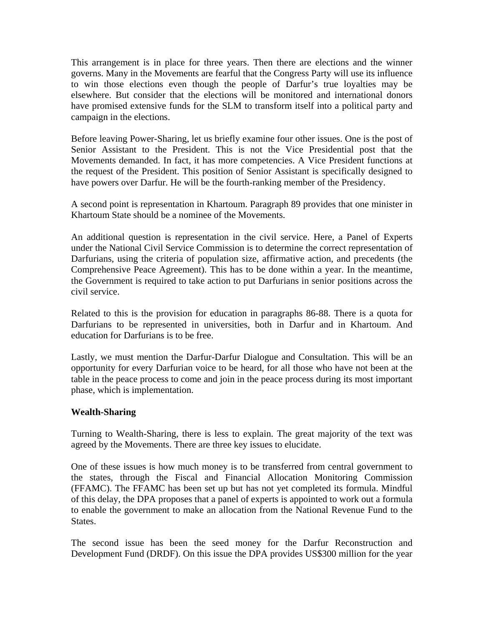This arrangement is in place for three years. Then there are elections and the winner governs. Many in the Movements are fearful that the Congress Party will use its influence to win those elections even though the people of Darfur's true loyalties may be elsewhere. But consider that the elections will be monitored and international donors have promised extensive funds for the SLM to transform itself into a political party and campaign in the elections.

Before leaving Power-Sharing, let us briefly examine four other issues. One is the post of Senior Assistant to the President. This is not the Vice Presidential post that the Movements demanded. In fact, it has more competencies. A Vice President functions at the request of the President. This position of Senior Assistant is specifically designed to have powers over Darfur. He will be the fourth-ranking member of the Presidency.

A second point is representation in Khartoum. Paragraph 89 provides that one minister in Khartoum State should be a nominee of the Movements.

An additional question is representation in the civil service. Here, a Panel of Experts under the National Civil Service Commission is to determine the correct representation of Darfurians, using the criteria of population size, affirmative action, and precedents (the Comprehensive Peace Agreement). This has to be done within a year. In the meantime, the Government is required to take action to put Darfurians in senior positions across the civil service.

Related to this is the provision for education in paragraphs 86-88. There is a quota for Darfurians to be represented in universities, both in Darfur and in Khartoum. And education for Darfurians is to be free.

Lastly, we must mention the Darfur-Darfur Dialogue and Consultation. This will be an opportunity for every Darfurian voice to be heard, for all those who have not been at the table in the peace process to come and join in the peace process during its most important phase, which is implementation.

#### **Wealth-Sharing**

Turning to Wealth-Sharing, there is less to explain. The great majority of the text was agreed by the Movements. There are three key issues to elucidate.

One of these issues is how much money is to be transferred from central government to the states, through the Fiscal and Financial Allocation Monitoring Commission (FFAMC). The FFAMC has been set up but has not yet completed its formula. Mindful of this delay, the DPA proposes that a panel of experts is appointed to work out a formula to enable the government to make an allocation from the National Revenue Fund to the States.

The second issue has been the seed money for the Darfur Reconstruction and Development Fund (DRDF). On this issue the DPA provides US\$300 million for the year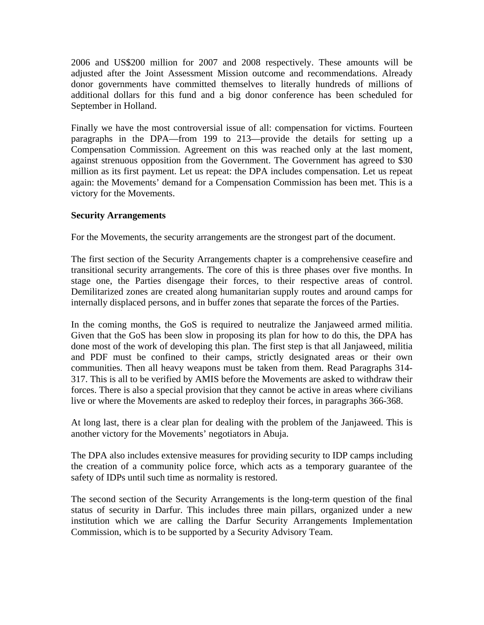2006 and US\$200 million for 2007 and 2008 respectively. These amounts will be adjusted after the Joint Assessment Mission outcome and recommendations. Already donor governments have committed themselves to literally hundreds of millions of additional dollars for this fund and a big donor conference has been scheduled for September in Holland.

Finally we have the most controversial issue of all: compensation for victims. Fourteen paragraphs in the DPA—from 199 to 213—provide the details for setting up a Compensation Commission. Agreement on this was reached only at the last moment, against strenuous opposition from the Government. The Government has agreed to \$30 million as its first payment. Let us repeat: the DPA includes compensation. Let us repeat again: the Movements' demand for a Compensation Commission has been met. This is a victory for the Movements.

## **Security Arrangements**

For the Movements, the security arrangements are the strongest part of the document.

The first section of the Security Arrangements chapter is a comprehensive ceasefire and transitional security arrangements. The core of this is three phases over five months. In stage one, the Parties disengage their forces, to their respective areas of control. Demilitarized zones are created along humanitarian supply routes and around camps for internally displaced persons, and in buffer zones that separate the forces of the Parties.

In the coming months, the GoS is required to neutralize the Janjaweed armed militia. Given that the GoS has been slow in proposing its plan for how to do this, the DPA has done most of the work of developing this plan. The first step is that all Janjaweed, militia and PDF must be confined to their camps, strictly designated areas or their own communities. Then all heavy weapons must be taken from them. Read Paragraphs 314- 317. This is all to be verified by AMIS before the Movements are asked to withdraw their forces. There is also a special provision that they cannot be active in areas where civilians live or where the Movements are asked to redeploy their forces, in paragraphs 366-368.

At long last, there is a clear plan for dealing with the problem of the Janjaweed. This is another victory for the Movements' negotiators in Abuja.

The DPA also includes extensive measures for providing security to IDP camps including the creation of a community police force, which acts as a temporary guarantee of the safety of IDPs until such time as normality is restored.

The second section of the Security Arrangements is the long-term question of the final status of security in Darfur. This includes three main pillars, organized under a new institution which we are calling the Darfur Security Arrangements Implementation Commission, which is to be supported by a Security Advisory Team.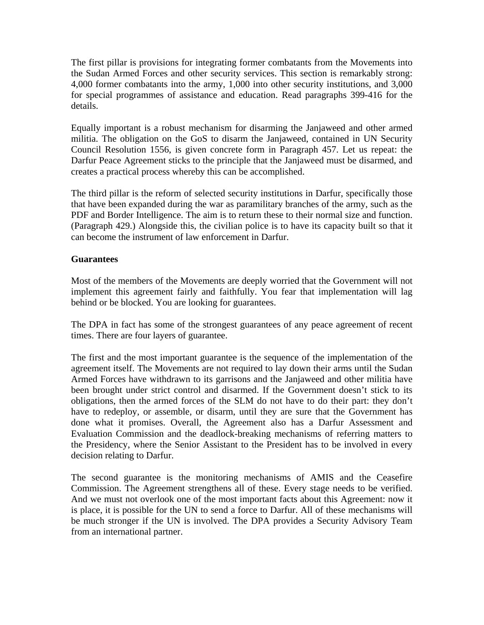The first pillar is provisions for integrating former combatants from the Movements into the Sudan Armed Forces and other security services. This section is remarkably strong: 4,000 former combatants into the army, 1,000 into other security institutions, and 3,000 for special programmes of assistance and education. Read paragraphs 399-416 for the details.

Equally important is a robust mechanism for disarming the Janjaweed and other armed militia. The obligation on the GoS to disarm the Janjaweed, contained in UN Security Council Resolution 1556, is given concrete form in Paragraph 457. Let us repeat: the Darfur Peace Agreement sticks to the principle that the Janjaweed must be disarmed, and creates a practical process whereby this can be accomplished.

The third pillar is the reform of selected security institutions in Darfur, specifically those that have been expanded during the war as paramilitary branches of the army, such as the PDF and Border Intelligence. The aim is to return these to their normal size and function. (Paragraph 429.) Alongside this, the civilian police is to have its capacity built so that it can become the instrument of law enforcement in Darfur.

## **Guarantees**

Most of the members of the Movements are deeply worried that the Government will not implement this agreement fairly and faithfully. You fear that implementation will lag behind or be blocked. You are looking for guarantees.

The DPA in fact has some of the strongest guarantees of any peace agreement of recent times. There are four layers of guarantee.

The first and the most important guarantee is the sequence of the implementation of the agreement itself. The Movements are not required to lay down their arms until the Sudan Armed Forces have withdrawn to its garrisons and the Janjaweed and other militia have been brought under strict control and disarmed. If the Government doesn't stick to its obligations, then the armed forces of the SLM do not have to do their part: they don't have to redeploy, or assemble, or disarm, until they are sure that the Government has done what it promises. Overall, the Agreement also has a Darfur Assessment and Evaluation Commission and the deadlock-breaking mechanisms of referring matters to the Presidency, where the Senior Assistant to the President has to be involved in every decision relating to Darfur.

The second guarantee is the monitoring mechanisms of AMIS and the Ceasefire Commission. The Agreement strengthens all of these. Every stage needs to be verified. And we must not overlook one of the most important facts about this Agreement: now it is place, it is possible for the UN to send a force to Darfur. All of these mechanisms will be much stronger if the UN is involved. The DPA provides a Security Advisory Team from an international partner.